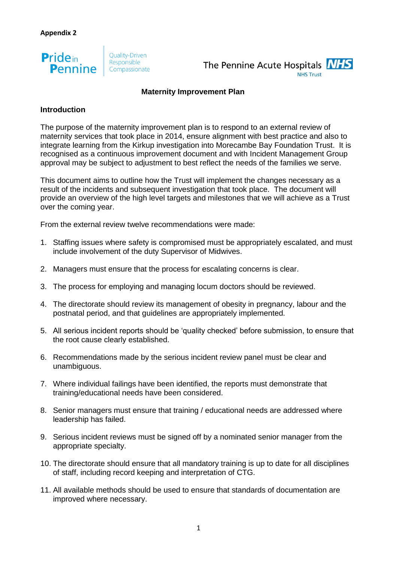



#### **Maternity Improvement Plan**

# **Introduction**

The purpose of the maternity improvement plan is to respond to an external review of maternity services that took place in 2014, ensure alignment with best practice and also to integrate learning from the Kirkup investigation into Morecambe Bay Foundation Trust. It is recognised as a continuous improvement document and with Incident Management Group approval may be subject to adjustment to best reflect the needs of the families we serve.

This document aims to outline how the Trust will implement the changes necessary as a result of the incidents and subsequent investigation that took place. The document will provide an overview of the high level targets and milestones that we will achieve as a Trust over the coming year.

From the external review twelve recommendations were made:

- 1. Staffing issues where safety is compromised must be appropriately escalated, and must include involvement of the duty Supervisor of Midwives.
- 2. Managers must ensure that the process for escalating concerns is clear.
- 3. The process for employing and managing locum doctors should be reviewed.
- 4. The directorate should review its management of obesity in pregnancy, labour and the postnatal period, and that guidelines are appropriately implemented.
- 5. All serious incident reports should be 'quality checked' before submission, to ensure that the root cause clearly established.
- 6. Recommendations made by the serious incident review panel must be clear and unambiguous.
- 7. Where individual failings have been identified, the reports must demonstrate that training/educational needs have been considered.
- 8. Senior managers must ensure that training / educational needs are addressed where leadership has failed.
- 9. Serious incident reviews must be signed off by a nominated senior manager from the appropriate specialty.
- 10. The directorate should ensure that all mandatory training is up to date for all disciplines of staff, including record keeping and interpretation of CTG.
- 11. All available methods should be used to ensure that standards of documentation are improved where necessary.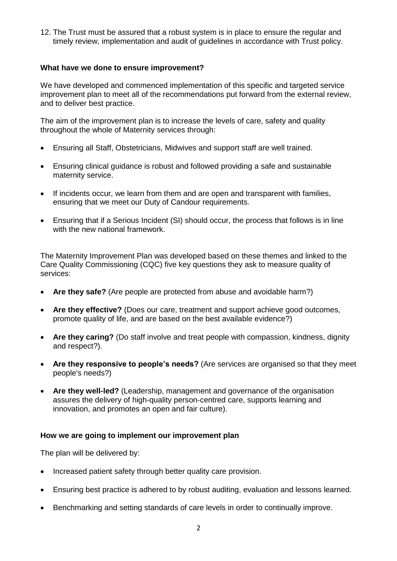12. The Trust must be assured that a robust system is in place to ensure the regular and timely review, implementation and audit of guidelines in accordance with Trust policy.

# **What have we done to ensure improvement?**

We have developed and commenced implementation of this specific and targeted service improvement plan to meet all of the recommendations put forward from the external review, and to deliver best practice.

The aim of the improvement plan is to increase the levels of care, safety and quality throughout the whole of Maternity services through:

- Ensuring all Staff, Obstetricians, Midwives and support staff are well trained.
- Ensuring clinical guidance is robust and followed providing a safe and sustainable maternity service.
- If incidents occur, we learn from them and are open and transparent with families, ensuring that we meet our Duty of Candour requirements.
- Ensuring that if a Serious Incident (SI) should occur, the process that follows is in line with the new national framework.

The Maternity Improvement Plan was developed based on these themes and linked to the Care Quality Commissioning (CQC) five key questions they ask to measure quality of services:

- **Are they safe?** (Are people are protected from abuse and avoidable harm?)
- **Are they effective?** (Does our care, treatment and support achieve good outcomes, promote quality of life, and are based on the best available evidence?)
- **Are they caring?** (Do staff involve and treat people with compassion, kindness, dignity and respect?).
- **Are they responsive to people's needs?** (Are services are organised so that they meet people's needs?)
- **Are they well-led?** (Leadership, management and governance of the organisation assures the delivery of high-quality person-centred care, supports learning and innovation, and promotes an open and fair culture).

# **How we are going to implement our improvement plan**

The plan will be delivered by:

- Increased patient safety through better quality care provision.
- Ensuring best practice is adhered to by robust auditing, evaluation and lessons learned.
- Benchmarking and setting standards of care levels in order to continually improve.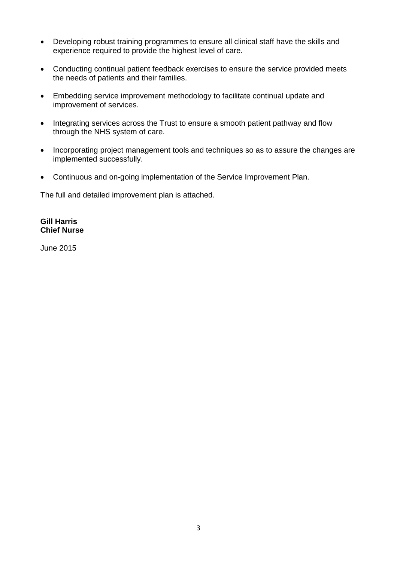- Developing robust training programmes to ensure all clinical staff have the skills and experience required to provide the highest level of care.
- Conducting continual patient feedback exercises to ensure the service provided meets the needs of patients and their families.
- Embedding service improvement methodology to facilitate continual update and improvement of services.
- Integrating services across the Trust to ensure a smooth patient pathway and flow through the NHS system of care.
- Incorporating project management tools and techniques so as to assure the changes are implemented successfully.
- Continuous and on-going implementation of the Service Improvement Plan.

The full and detailed improvement plan is attached.

### **Gill Harris Chief Nurse**

June 2015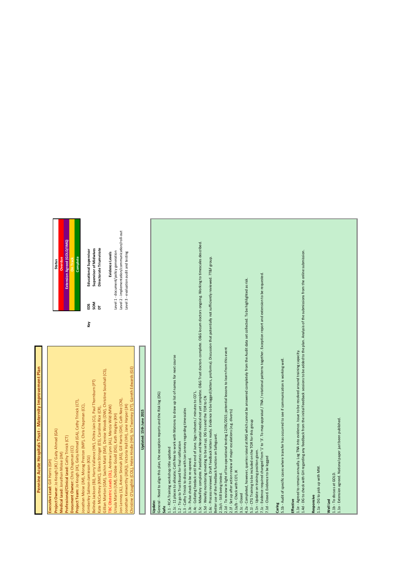# Pennine Acute Hospitals Trust - Maternity Improvement Plan **Pennine Acute Hospitals Trust - Maternity Improvement Plan**

Belinda Jackson (BJ), Harry Vallance (HV), Chitra Jain (CJ), Paul Thornburn (PT) **SOM Supervisor of Midwives** Kate McCartney (KMC), Eileen Stringer (ES), Caroline Rice (CR), **DT Directorate Triumvirate** Kimberley Salmon-Jamieson (KSJ) **Key EDS Educational Supervisor** tine O'Loughlin (COL), Helen Hindle (HH), Viv Twomey (VT), Gareth Edwards (GE) Christine O'Loughlin (COL), Helen Hindle (HH), Viv Twomey (VT), Gareth Edwards (GE) sillian Morton (GM), Sachin Maiti (SM), Denise Woods (DW), Christine Southall (CS), Gillian Morton (GM), Sachin Maiti (SM), Denise Woods (DW), Christine Southall (CS), 3elinda Jackson (BJ), Harry Vallance (HV), Chitra Jain (CJ), Paul Thornburn (PT) on Lenney (JL), Anton Sinniah (AS), Gill Harris (GH), Cath Nee (CN), Jon Lenney (JL), Anton Sinniah (AS), Gill Harris (GH), Cath Nee (CN), roject Team: Jo Keogh (JK), Gaity Ahmad (GA), Cathy Trinick (CT), **Project Team:** Jo Keogh (JK), Gaity Ahmad (GA), Cathy Trinick (CT), onathan Moise (JM), Morag Preston (MP), Chris Chapman (CC), Jonathan Moise (JM), Morag Preston (MP), Chris Chapman (CC), (ate McCartney (KMC), Eileen Stringer (ES), Caroline Rice (CR), BC Obstetric Leads (OL), Andrew Lynn (AL), Marcia Wild (MW) pnathan Kenworthy (JK(A)), Victoria Hall (VH), Jane Harper (JH) Jonathan Kenworthy (JK(A)), Victoria Hall (VH), Jane Harper (JH) TBC Obstetric Leads (OL), Andrew Lynn (AL), Marcia Wild (MW) Jrsula Martin (UM), Debbie Gould (DG), Kath Hingley (KH) Ursula Martin (UM), Debbie Gould (DG), Kath Hingley (KH) roject Owner: Jo Keogh (JK) / Gaity Ahmad (GA) **Project Owner:** Jo Keogh (JK) / Gaity Ahmad (GA) rofessional/Clinical Lead: Cathy Trinick (CT) **Professional/Clinical Lead:** Cathy Trinick (CT) Ocument Owner: Chris Chapman (CC) **Document Owner:** Chris Chapman (CC) **Medical Lead: Jonathan Moise (JM) Medical Lead:** Jonathan Moise (JM) imberley Salmon-Jamieson (KSJ) **Executive Lead:** Gill Harris (GH) ecutive Lead: Gill Harris

| Extension Agreed (GOLD/IMG)<br>Complete<br>Overdue<br><b>On Track</b><br><b>Status</b> | Directorate Triumvirate<br>Supervisor of Midwives<br>Educational Supervisor |
|----------------------------------------------------------------------------------------|-----------------------------------------------------------------------------|
|----------------------------------------------------------------------------------------|-----------------------------------------------------------------------------|

Key

Level 1 - document/policy generation Level 2 - implementation/communication/roll-out Level 3 - evaluation audit and testing

Level 1 - document/policy generation Level 3 - evaluation audit and testing

Level 2 - implementation/communication/roll-out **Evidence Levels**

Evidence Levels

# Updated: 15th June 2015 **Updated: 15th June 2015**

**Jpdate:**<br>Seneral - Need to align this plan, the exception reports and the Risk log (DG) General - Need to align this plan, the exception reports and the Risk log (DG)

Safe<br>1.1 - RCA Training workshop title updated

1.1 - RCA Training workshop title updated

1.1c - 11 places to allocate; Cath Nee to work with Matrons to draw up list of names for next course 1.1c - 11 places to allocate; Cath Nee to work with Matrons to draw up list of names for next course

1.2 - To go to Trust Board for final ratification 1.2 - To go to Trust Board for final ratification

1.3 - Cathy Trinick to discuss with Jon Lenney regarding timescales 1.3 - Cathy Trinick to discuss with Jon Lenney regarding timescales

1.3c - Pulse check to be re-opened. 1.3c - Pulse check to be re-opened.

1.4c - Collating feedack until the end of June. Sign insheets / minutes to CO'L. 1.4c - Collating feedack until the end of June. Sign insheets / minutes to CO'L.

. 5c - Midwifery complete. Paediatric and Neonatal medical not yet complete. O&G Trust doctors complete. O&G locum doctors ongoing. Working to timescales described. 1.5c - Midwifery complete. Paediatric and Neonatal medical not yet complete. O&G Trust doctors complete. O&G locum doctors ongoing. Working to timescales described.

L5d - Weekly monitoring meeting to be set up; DG to send the TOR to CN 1.5d - Weekly monitoring meeting to be set up; DG to send the TOR to CN

1.6c - Process reviewed. Draft feedback letters ready. Evidence to be logged (letters, proforma). Discussion that potentially not sufficiently reviewed. ?T&F group. .6c-Process reviewed. Draft feedback letters ready. Evidence to be logged (letters, proforma). Discussion that potentially not sufficiently reviewed. ?T&F group.

3etter use of the Feedback function on Safeguard. Better use of the Feedback function on Safeguard.

2.1b/c - Still being tested. 2.1b/c - Still being tested.

2.1d - To review in light of live operational testing 12/06/2015; potential lessons to learn from this event 2.1d - To review in light of live operational testing 12/06/2015; potential lessons to learn from this event

2.1f - Set up after action review of major escalations (e.g. diverts) 2.1f - Set up after action review of major escalations (e.g. diverts) 3.1a/b - Check with CO'L JK

3.1a/b - Check with CO'L JK

3.1c - Closed<br>4.2a - Completed, however, queries raised at IMG which cannot be answered completely from the Audit data set collected. To be highlighted as risk. 4.2a - Completed, however, queries raised at IMG which cannot be answered completely from the Audit data set collected. To be highlighted as risk.

5.11 - CTG Training to be included on the TOR for this group 5.1l - CTG Training to be included on the TOR for this group

5.1n - Update on training position given.

5.1n - Update on training position given.<br>7.1c - Evidence required changed from '1' to '3'. To map appraisal / TNA / rotational patterns together. Exception report and extension to be requested. 7.1c - Evidence required changed from '1' to '3'. To map appraisal / TNA / rotational patterns together. Exception report and extension to be requested.

7.1d - Closed. Evidence to be logged 7.1d - Closed. Evidence to be logged

**Caring**<br>5.1b - Audit of specific cases where transfer has occurred to see if communication is working well. 5.1b - Audit of specific cases where transfer has occurred to see if communication is working well.

1.1e - Agreed to remain annually. Log TNA into evidence. Issue to be resolved around training capacity.

**Effective**<br>1.1e - Agreed to remain annually. Log TNA into evidence. Issue to be resolved around training capacity.<br>1.4d - DG to check with GH regarding any feedback from the initial feedback sessions to be added to the pl 1.4d - DG to check with GH regarding any feedback from the initial feedback sessions to be added to the plan. Analysis of the submissions from the online submission.

**Responsive**<br>L.1a - DG to pick up with MM. 1.1a - DG to pick up with MM.

**Well Led** 1.1b - To discuss at GOLD.

L.10 - Extension agreed. National paper just been published. 1.1o - Extension agreed. National paper just been published.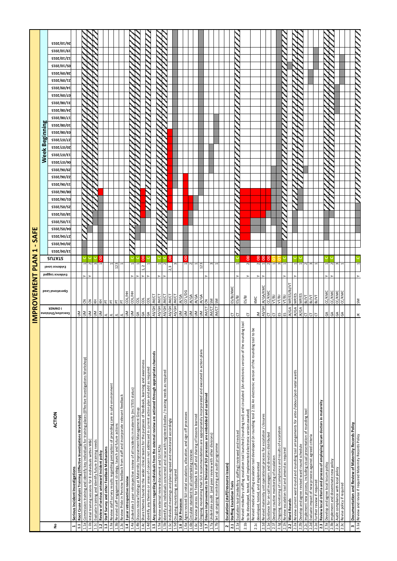|                  |                                                                                                                                                                                                            |                                       | IMPROVEMENT            |                                   | PLAN                    | ٠<br>↤                                 | SAFE              |                                 |            |                                        |            |                                 |            |                                           |                            |                                     |            |                                   |            |                   |                                        |                   |            |                                 |            |                   |
|------------------|------------------------------------------------------------------------------------------------------------------------------------------------------------------------------------------------------------|---------------------------------------|------------------------|-----------------------------------|-------------------------|----------------------------------------|-------------------|---------------------------------|------------|----------------------------------------|------------|---------------------------------|------------|-------------------------------------------|----------------------------|-------------------------------------|------------|-----------------------------------|------------|-------------------|----------------------------------------|-------------------|------------|---------------------------------|------------|-------------------|
|                  |                                                                                                                                                                                                            |                                       |                        |                                   |                         |                                        |                   |                                 |            |                                        |            |                                 |            | <b>Week</b>                               |                            | mā                                  | eginning   |                                   |            |                   |                                        |                   |            |                                 |            |                   |
| å                | ACTION                                                                                                                                                                                                     | <b>I OMNER</b><br>Executive/Divisiona | Operational Lead       | Evidence Level<br>Evidence Logged | <b>2UTAT2</b>           | <b>SIOZ/70/0Z</b><br><b>SIOZ/70/ET</b> | <b>SIOZ/tO/LZ</b> | STOZ/SO/TT<br><b>STOZ/SO/t0</b> | ST07/S0/8T | <b>STOZ/90/TO</b><br><b>STOZ/SO/S7</b> | ST07/90/80 | <b>STOZ/90/ZZ</b><br>ST07/90/ST | ST07/90/67 | <b>STOZ/</b> LO/ET<br>ST07/ <i>L</i> 0/90 | <b>STOZ/</b> <i>L</i> O/07 | <b>STOZ/</b> <i>L</i> O/ <i>L</i> Z | SI0Z/80/E0 | ST07/80/ <i>L</i> T<br>ST07/80/0T | ST07/80/t7 | <b>ST0Z/80/TE</b> | $$T0Z/60/\nu T$<br>ST07/60/ <i>L</i> O | <b>SIOZ/60/IZ</b> | ST07/60/87 | <b>SIOZ/OI/ZI</b><br>ST07/0T/S0 | ST07/0T/6T | <b>STOZ/OT/9Z</b> |
| $\mathbf{r}$     | Serious Incident Investigations                                                                                                                                                                            |                                       |                        |                                   |                         |                                        |                   |                                 |            |                                        |            |                                 |            |                                           |                            |                                     |            |                                   |            |                   |                                        |                   |            |                                 |            |                   |
| 1.1a<br>1.1      | Commission training and identify key individuals for training places (Effective Investigations Workshop)<br>Root Cause Analysis Training (Effective Investigations Workshop)                               | <b>NU</b>                             | 3                      |                                   |                         |                                        |                   |                                 |            |                                        |            |                                 |            |                                           |                            |                                     |            |                                   |            |                   |                                        |                   |            |                                 |            |                   |
| 1.1 <sub>b</sub> | Initial training sessions for 8 individuals within W&C                                                                                                                                                     | $\mathsf{\underline{s}}$              | 3                      |                                   | $\sim$                  |                                        |                   |                                 |            |                                        |            |                                 |            |                                           |                            |                                     |            |                                   |            |                   |                                        |                   |            |                                 |            |                   |
| 1.1c             | Evaluate training and identify future training needs                                                                                                                                                       | $\leq$                                | 玉                      |                                   |                         |                                        |                   |                                 |            |                                        |            |                                 |            |                                           |                            |                                     |            |                                   |            |                   |                                        |                   |            |                                 |            |                   |
| 1.2              | Review of serious untoward Incident policy                                                                                                                                                                 | $\leq$                                | E                      |                                   | g                       |                                        |                   |                                 |            |                                        |            |                                 |            |                                           |                            |                                     |            |                                   |            |                   |                                        |                   |            |                                 |            |                   |
| 1.3              | Staff Survey and other Feedback Mechanisms                                                                                                                                                                 | 치회                                    |                        |                                   |                         |                                        |                   |                                 |            |                                        |            |                                 |            |                                           |                            |                                     |            |                                   |            |                   |                                        |                   |            |                                 |            |                   |
| 1.3a             | Review staff survey results regarding perception of providing care in safe environment                                                                                                                     |                                       |                        |                                   |                         |                                        |                   |                                 |            |                                        |            |                                 |            |                                           |                            |                                     |            |                                   |            |                   |                                        |                   |            |                                 |            |                   |
| 1.3 <sub>b</sub> | Revised staff engagement strategy, launch and future actions                                                                                                                                               | 눈                                     |                        | 123                               |                         |                                        |                   |                                 |            |                                        |            |                                 |            |                                           |                            |                                     |            |                                   |            |                   |                                        |                   |            |                                 |            |                   |
| 1.4              | Review Pride in Pennine feedback from staff and incorporate relevant feedback<br>3 year retrospective review                                                                                               | $\leq$                                | COL/HH                 |                                   |                         |                                        |                   |                                 |            |                                        |            |                                 |            |                                           |                            |                                     |            |                                   |            |                   |                                        |                   |            |                                 |            |                   |
| 1.4a             | Undertake 3 year retrospective review of all incidents in maternity (inc STEIS status)                                                                                                                     | $\leq$                                |                        |                                   |                         |                                        |                   |                                 |            |                                        |            |                                 |            |                                           |                            |                                     |            |                                   |            |                   |                                        |                   |            |                                 |            |                   |
| 1.4 <sub>b</sub> | Discuss review findings at Maternity Improvement Management Group                                                                                                                                          | $\mathbb{S}^4$                        | COL/HH                 |                                   |                         |                                        |                   |                                 |            |                                        |            |                                 |            |                                           |                            |                                     |            |                                   |            |                   |                                        |                   |            |                                 |            |                   |
| 1.4c             | Share themes found to the wider clinical teams for the purposes of feedback, learning and awareness                                                                                                        | GA                                    | g                      | $\sim$                            | 8                       |                                        |                   |                                 |            |                                        |            |                                 |            |                                           |                            |                                     |            |                                   |            |                   |                                        |                   |            |                                 |            |                   |
| 1.4d             | identify any themes or areas of concern not addressed in current action plan and add as required                                                                                                           | GA                                    | g                      |                                   |                         |                                        |                   |                                 |            |                                        |            |                                 |            |                                           |                            |                                     |            |                                   |            |                   |                                        |                   |            |                                 |            |                   |
| 1.5              | Any concerns regarding individuals from the external review are actioned through appropriate channels                                                                                                      | AS/GH                                 | JM/CT                  |                                   |                         |                                        |                   |                                 |            |                                        |            |                                 |            |                                           |                            |                                     |            |                                   |            |                   |                                        |                   |            |                                 |            |                   |
| 1.5a             | Review external review document and SUI RCAs                                                                                                                                                               | AS/GH                                 | 5<br>ξ                 |                                   |                         |                                        |                   |                                 |            |                                        |            |                                 |            |                                           |                            |                                     |            |                                   |            |                   |                                        |                   |            |                                 |            |                   |
| 1.5 <sub>b</sub> | Identify any individuals concerned and raise with registered bodies / training needs as required                                                                                                           | AS/GH                                 | IM/CT                  |                                   | $\sim$                  |                                        |                   |                                 |            |                                        |            |                                 |            |                                           |                            |                                     |            |                                   |            |                   |                                        |                   |            |                                 |            |                   |
| <b>1.5c</b>      | Individual meetings and plans agreed and monitored accordingly                                                                                                                                             | AS/GH                                 | IN/CT                  |                                   |                         |                                        |                   |                                 |            |                                        |            |                                 |            |                                           |                            |                                     |            |                                   |            |                   |                                        |                   |            |                                 |            |                   |
| 1.5d             | On going monitoring as required                                                                                                                                                                            | AS/GH                                 | IN/CT                  |                                   |                         |                                        |                   |                                 |            |                                        |            |                                 |            |                                           |                            |                                     |            |                                   |            |                   |                                        |                   |            |                                 |            |                   |
| 1.6              | <b>SUI Processes</b>                                                                                                                                                                                       | Š                                     | IK/GA                  |                                   |                         |                                        |                   |                                 |            |                                        |            |                                 |            |                                           |                            |                                     |            |                                   |            |                   |                                        |                   |            |                                 |            |                   |
| Ga               | Agree revised SUI initial escalation, allocation, and sign off processes                                                                                                                                   | ⊠<br>S                                | CO'L/DO                |                                   |                         |                                        |                   |                                 |            |                                        |            |                                 |            |                                           |                            |                                     |            |                                   |            |                   |                                        |                   |            |                                 |            |                   |
| 1.6c<br>1.6b     | Review process for feedback to staff and sharing of lessons learned<br>Circulate standard to all undertaking reviews                                                                                       | $\mathsf{M}$                          | IK/GA<br>IK/GA         |                                   |                         |                                        |                   |                                 |            |                                        |            |                                 |            |                                           |                            |                                     |            |                                   |            |                   |                                        |                   |            |                                 |            |                   |
| 1.6d             | Ongoing monitoring that SUI recommendations are appropriately incorporated and executed in action plans                                                                                                    |                                       | K/GA                   | 123                               |                         |                                        |                   |                                 |            |                                        |            |                                 |            |                                           |                            |                                     |            |                                   |            |                   |                                        |                   |            |                                 |            |                   |
| $\frac{7}{11}$   | Ensure improvements in Divisional SUI processes are embedded and sustained                                                                                                                                 | έ                                     | 3                      |                                   |                         |                                        |                   |                                 |            |                                        |            |                                 |            |                                           |                            |                                     |            |                                   |            |                   |                                        |                   |            |                                 |            |                   |
| 1.7a             | Undertake audit (and peer review with other divisions)                                                                                                                                                     | <b>JM/CT</b>                          | ŠΜ                     |                                   |                         |                                        |                   |                                 |            |                                        |            |                                 |            |                                           |                            |                                     |            |                                   |            |                   |                                        |                   |            |                                 |            |                   |
| $\overline{a}$   | Set up ongoing monitoring and audit programme                                                                                                                                                              | Σ                                     | Š                      |                                   |                         |                                        |                   |                                 |            |                                        |            |                                 |            |                                           |                            |                                     |            |                                   |            |                   |                                        |                   |            |                                 |            |                   |
|                  |                                                                                                                                                                                                            |                                       |                        |                                   |                         |                                        |                   |                                 |            |                                        |            |                                 |            |                                           |                            |                                     |            |                                   |            |                   |                                        |                   |            |                                 |            |                   |
| $\mathbf{r}$     | Escalation (staff/resource issues)                                                                                                                                                                         |                                       |                        |                                   |                         |                                        |                   |                                 |            |                                        |            |                                 |            |                                           |                            |                                     |            |                                   |            |                   |                                        |                   |            |                                 |            |                   |
| 2.1              | <b>Staffing Escalation Tool</b>                                                                                                                                                                            | 55                                    | š<br>ES/BJ/            |                                   |                         |                                        |                   |                                 |            |                                        |            |                                 |            |                                           |                            |                                     |            |                                   |            |                   |                                        |                   |            |                                 |            |                   |
| 2.1a             | Escalation tool (midwifery staffing) reviewed and revised                                                                                                                                                  |                                       | ES/BJ                  |                                   |                         |                                        |                   |                                 |            |                                        |            |                                 |            |                                           |                            |                                     |            |                                   |            |                   |                                        |                   |            |                                 |            |                   |
| 2.1 <sub>b</sub> | g tool<br>Revised midwifery staffing escalation tool launched (rounding tool) and circulated (An electronic version of the roundin<br>to be developed, tested, and implemented electronic version awaited) | Ⴆ                                     | ES/BJ                  |                                   | 8<br>$\sim$             |                                        |                   |                                 |            |                                        |            |                                 |            |                                           |                            |                                     |            |                                   |            |                   |                                        |                   |            |                                 |            |                   |
| 2.1c             | ō<br>Revised medical staffing escalation tool developed (in rounding tool 2.1b) An electronic version of the rounding tool to b                                                                            |                                       | KMC                    |                                   |                         |                                        |                   |                                 |            |                                        |            |                                 |            |                                           |                            |                                     |            |                                   |            |                   |                                        |                   |            |                                 |            |                   |
|                  | developed, tested, and implemented                                                                                                                                                                         | ₹                                     |                        |                                   | 88<br>$\sim$            |                                        |                   |                                 |            |                                        |            |                                 |            |                                           |                            |                                     |            |                                   |            |                   |                                        |                   |            |                                 |            |                   |
| 2.1e<br>2.1d     | Revised maternity unit operational process for escalation / closures<br>Guidance for on-call managers and directors distributed                                                                            | AS)<br>৳                              | <b>CC/KMC</b><br>K/GA/ |                                   | 8<br>$\sim$             |                                        |                   |                                 |            |                                        |            |                                 |            |                                           |                            |                                     |            |                                   |            |                   |                                        |                   |            |                                 |            |                   |
| 2.1f             | Develop routine monitoring of escalation                                                                                                                                                                   | চ                                     | VT/BJ                  |                                   |                         |                                        |                   |                                 |            |                                        |            |                                 |            |                                           |                            |                                     |            |                                   |            |                   |                                        |                   |            |                                 |            |                   |
| 2.1g             | Ongoing monitoring of compliance and results of escalation                                                                                                                                                 | ES.                                   | VT/BJ                  |                                   |                         |                                        |                   |                                 |            |                                        |            |                                 |            |                                           |                            |                                     |            |                                   |            |                   |                                        |                   |            |                                 |            |                   |
| 2.1h             | Review escalation tool and amend as required                                                                                                                                                               | 5                                     | VT/BJ                  |                                   |                         |                                        |                   |                                 |            |                                        |            |                                 |            |                                           |                            |                                     |            |                                   |            |                   |                                        |                   |            |                                 |            |                   |
| 2.2              | <b>Ward Rounds</b>                                                                                                                                                                                         | <b>KONI</b>                           | MP/ES,                 |                                   |                         |                                        |                   |                                 |            |                                        |            |                                 |            |                                           |                            |                                     |            |                                   |            |                   |                                        |                   |            |                                 |            |                   |
|                  | 2.2a Review current ward round and rounding tool arrangements for ante-/labour/post-natal wards                                                                                                            | JK/GA                                 | MP/ES                  |                                   |                         |                                        |                   |                                 |            |                                        |            |                                 |            |                                           |                            |                                     |            |                                   |            |                   |                                        |                   |            |                                 |            |                   |
| 2.2 <sub>b</sub> | Develop and agree revised ward round schedule                                                                                                                                                              | IK/GA                                 | MP/ES                  |                                   |                         |                                        |                   |                                 |            |                                        |            |                                 |            |                                           |                            |                                     |            |                                   |            |                   |                                        |                   |            |                                 |            |                   |
| 2.2c             | Implement new process, including visual presentation of rounding tool                                                                                                                                      | Ⴆ                                     | BJ/VT                  |                                   | $\overline{\mathbf{c}}$ |                                        |                   |                                 |            |                                        |            |                                 |            |                                           |                            |                                     |            |                                   |            |                   |                                        |                   |            |                                 |            |                   |
| 2.2d             | Evaluate impact of new process against agreed criteria                                                                                                                                                     | চ                                     | <b>N/R</b>             |                                   | r                       |                                        |                   |                                 |            |                                        |            |                                 |            |                                           |                            |                                     |            |                                   |            |                   |                                        |                   |            |                                 |            |                   |
| 2.2e             | Further review if required                                                                                                                                                                                 | চ                                     | BJ/VT                  |                                   |                         |                                        |                   |                                 |            |                                        |            |                                 |            |                                           |                            |                                     |            |                                   |            |                   |                                        |                   |            |                                 |            |                   |
| 2.3              | Review local criteria and process of employing locum doctors in maternity                                                                                                                                  |                                       |                        |                                   |                         |                                        |                   |                                 |            |                                        |            |                                 |            |                                           |                            |                                     |            |                                   |            |                   |                                        |                   |            |                                 |            |                   |
|                  | 2.3a Develop and agree local locum policy                                                                                                                                                                  |                                       | <b>CC/KMC</b>          |                                   |                         |                                        |                   |                                 |            |                                        |            |                                 |            |                                           |                            |                                     |            |                                   |            |                   |                                        |                   |            |                                 |            |                   |
| 2.3 <sub>b</sub> | Implement and disseminate new policy                                                                                                                                                                       | \$35                                  | <b>CC/KMC</b>          |                                   |                         |                                        |                   |                                 |            |                                        |            |                                 |            |                                           |                            |                                     |            |                                   |            |                   |                                        |                   |            |                                 |            |                   |
| 23c<br>2.3c      | Audit compliance with local policy<br>Revise policy if required                                                                                                                                            | ే                                     | <b>CC/KMC</b><br>CC/KM |                                   |                         |                                        |                   |                                 |            |                                        |            |                                 |            |                                           |                            |                                     |            |                                   |            |                   |                                        |                   |            |                                 |            |                   |
|                  |                                                                                                                                                                                                            |                                       |                        |                                   |                         |                                        |                   |                                 |            |                                        |            |                                 |            |                                           |                            |                                     |            |                                   |            |                   |                                        |                   |            |                                 |            |                   |
|                  | 3 Documentation and Review of Maternity Records Policy                                                                                                                                                     |                                       |                        |                                   |                         |                                        |                   |                                 |            |                                        |            |                                 |            |                                           |                            |                                     |            |                                   |            |                   |                                        |                   |            |                                 |            |                   |
|                  | 3.1a Review and revise if required Maternity Records Policy                                                                                                                                                | $\overline{\mathsf{S}}$<br>$\preceq$  |                        |                                   |                         |                                        |                   |                                 |            |                                        |            |                                 |            |                                           |                            |                                     |            |                                   |            |                   |                                        |                   |            |                                 |            |                   |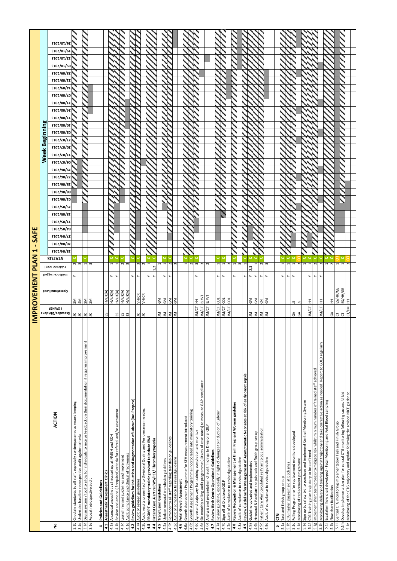|                                                                                                                           |                                       | <b>IMPROVEMENT</b>         | $\overline{\mathbf{A}}$<br>۵.     | ⊣<br>z                             | ٠          | <b>SAFE</b>                      |                          |                   |                          |            |                          |                     |                            |                                                          |                   |            |                                   |                   |                                      |             |           |                                        |                   |                   |
|---------------------------------------------------------------------------------------------------------------------------|---------------------------------------|----------------------------|-----------------------------------|------------------------------------|------------|----------------------------------|--------------------------|-------------------|--------------------------|------------|--------------------------|---------------------|----------------------------|----------------------------------------------------------|-------------------|------------|-----------------------------------|-------------------|--------------------------------------|-------------|-----------|----------------------------------------|-------------------|-------------------|
|                                                                                                                           |                                       |                            |                                   |                                    |            |                                  |                          |                   |                          |            |                          |                     | <b>Week</b>                |                                                          | Beginning         |            |                                   |                   |                                      |             |           |                                        |                   |                   |
| ACTION<br>å                                                                                                               | <b>I OMNER</b><br>Executive/Divisiona | Operational Lead           | Evidence Level<br>Evidence Logged | <b>STOZ/t0/ET</b><br><b>RUTATS</b> | ST07/t0/07 | <b>STOZ/SO/to</b><br>\$T0Z/b0/L7 | ST07/S0/81<br>STOZ/SO/T1 | <b>STOZ/SO/S7</b> | ST07/90/80<br>ST0Z/90/TO | ST07/90/ST | ST07/90/67<br>ST0Z/90/Zi | ST07/ <i>L</i> 0/90 | <b>STOZ/</b> <i>L</i> O/ET | <b>STOZ/</b> <i>L</i> O/ <i>L</i><br>ST07/ <i>L</i> 0/07 | <b>STOZ/80/ED</b> | ST07/80/01 | ST07/80/t7<br>ST07/80/ <i>L</i> 1 | <b>STOZ/80/TE</b> | $ST0Z/60/\nu$<br>ST07/60/ <i>L</i> O | \$T0Z/60/Ta | ST07/60/8 | <b>STOZ/OT/Z1</b><br><b>STOZ/OT/SO</b> | <b>STOZ/OT/6T</b> | <b>STOZ/OT/97</b> |
| Circulate standards to all staff, especially contemporaneous record keeping<br>3.1 <sub>b</sub>                           | ¥                                     | ŠΜ                         |                                   |                                    |            |                                  |                          |                   |                          |            |                          |                     |                            |                                                          |                   |            |                                   |                   |                                      |             |           |                                        |                   |                   |
| Undertake baseline retrospective audit against criteria<br>3.1c                                                           | $\leq$                                | SM                         | 3                                 |                                    |            |                                  |                          |                   |                          |            |                          |                     |                            |                                                          |                   |            |                                   |                   |                                      |             |           |                                        |                   |                   |
| Devise system / tool to allow for individuals to receive feedback on their documentation if requires improvement<br>3.1d  | $\leq$                                | <b>SM</b>                  |                                   |                                    |            |                                  |                          |                   |                          |            |                          |                     |                            |                                                          |                   |            |                                   |                   |                                      |             |           |                                        |                   |                   |
| Repeat retrospective audit<br>3.1e                                                                                        | $\leq$                                | ΜS                         | r                                 |                                    |            |                                  |                          |                   |                          |            |                          |                     |                            |                                                          |                   |            |                                   |                   |                                      |             |           |                                        |                   |                   |
| Policies and Guidelines<br>4                                                                                              |                                       |                            |                                   |                                    |            |                                  |                          |                   |                          |            |                          |                     |                            |                                                          |                   |            |                                   |                   |                                      |             |           |                                        |                   |                   |
| 4.1                                                                                                                       | 53                                    | HVJIK(A)                   |                                   |                                    |            |                                  |                          |                   |                          |            |                          |                     |                            |                                                          |                   |            |                                   |                   |                                      |             |           |                                        |                   |                   |
| Anaesthetic Assessment Clinics<br>Antenatal anaesthetic clinics set up at NMGH and ROH<br>4.1a                            |                                       | HV/JK(A)                   |                                   |                                    |            |                                  |                          |                   |                          |            |                          |                     |                            |                                                          |                   |            |                                   |                   |                                      |             |           |                                        |                   |                   |
| Review and amend (if required) criteria for referral and/or assessment<br>4.1b                                            |                                       | HV/JK(A)                   |                                   |                                    |            |                                  |                          |                   |                          |            |                          |                     |                            |                                                          |                   |            |                                   |                   |                                      |             |           |                                        |                   |                   |
| Launch revised guidelines and implement<br>4.1c                                                                           | ង ន                                   | HV/JK(A)                   | 2                                 |                                    |            |                                  |                          |                   |                          |            |                          |                     |                            |                                                          |                   |            |                                   |                   |                                      |             |           |                                        |                   |                   |
| Audit compliance and clinical effectiveness<br>4.1d                                                                       | ES                                    | HV/JK(A)                   | r                                 |                                    |            |                                  |                          |                   |                          |            |                          |                     |                            |                                                          |                   |            |                                   |                   |                                      |             |           |                                        |                   |                   |
| Review guidelines for Induction and Augmentation of Labour (inc. Propess)<br>4.2                                          |                                       |                            |                                   |                                    |            |                                  |                          |                   |                          |            |                          |                     |                            |                                                          |                   |            |                                   |                   |                                      |             |           |                                        |                   |                   |
| Audit of revised guidelines<br>4.2a                                                                                       | $\leq$                                | VH/CR                      | m                                 |                                    |            |                                  |                          |                   |                          |            |                          |                     |                            |                                                          |                   |            |                                   |                   |                                      |             |           |                                        |                   |                   |
| Audit results presented to Divisional Quality and Performance meeting<br>4.2b                                             | $\leq$                                | VH/CR                      | $\sim$                            |                                    |            |                                  |                          |                   |                          |            |                          |                     |                            |                                                          |                   |            |                                   |                   |                                      |             |           |                                        |                   |                   |
| PROMPT mandatory training revised to include EWS<br>4.3                                                                   |                                       |                            |                                   |                                    |            |                                  |                          |                   |                          |            |                          |                     |                            |                                                          |                   |            |                                   |                   |                                      |             |           |                                        |                   |                   |
| Patient Care Alert re EWS/PET/ Thrombocytopenia<br>4.4                                                                    |                                       |                            |                                   |                                    |            |                                  |                          |                   |                          |            |                          |                     |                            |                                                          |                   |            |                                   |                   |                                      |             |           |                                        |                   |                   |
| Update neonatal transfusion guidelines<br><b>Transfusion Guidelines</b><br>4.5a<br>4.5                                    | ≊                                     | $\tilde{\varepsilon}$<br>ξ |                                   |                                    |            |                                  |                          |                   |                          |            |                          |                     |                            |                                                          |                   |            |                                   |                   |                                      |             |           |                                        |                   |                   |
| 4.5b                                                                                                                      |                                       | $\mathsf{S}^{\mathsf{S}}$  | $\sim$                            |                                    |            |                                  |                          |                   |                          |            |                          |                     |                            |                                                          |                   |            |                                   |                   |                                      |             |           |                                        |                   |                   |
| Reminder to all staff regarding transfusion guidelines<br>Audit of compliance to revised guideline<br>4.5c                | $\leq$ $\leq$                         | ĞΜ                         | $\sim$                            |                                    |            |                                  |                          |                   |                          |            |                          |                     |                            |                                                          |                   |            |                                   |                   |                                      |             |           |                                        |                   |                   |
| Fetal Growth Assessment<br>4.6                                                                                            |                                       |                            |                                   |                                    |            |                                  |                          |                   |                          |            |                          |                     |                            |                                                          |                   |            |                                   |                   |                                      |             |           |                                        |                   |                   |
| Growth Assessment Programme for SFH measurement introduced<br>4.6a                                                        |                                       |                            |                                   |                                    |            |                                  |                          |                   |                          |            |                          |                     |                            |                                                          |                   |            |                                   |                   |                                      |             |           |                                        |                   |                   |
| Growth Assessment Programme incorporated into mandatory training<br>4.6b                                                  |                                       |                            | $\sim$                            |                                    |            |                                  |                          |                   |                          |            |                          |                     |                            |                                                          |                   |            |                                   |                   |                                      |             |           |                                        |                   |                   |
| Agree and trajectory for training completion and monitor<br>4.6c                                                          | IM/CT                                 | Ξ                          | $\infty$                          |                                    |            |                                  |                          |                   |                          |            |                          |                     |                            |                                                          |                   |            |                                   |                   |                                      |             |           |                                        |                   |                   |
| Six-monthly rolling audit programme (10 sets of case notes) to measure GAP compliance<br>4.6d                             | IN/CT                                 | RIVVI                      | $\sim$                            |                                    |            |                                  |                          |                   |                          |            |                          |                     |                            |                                                          |                   |            |                                   |                   |                                      |             |           |                                        |                   |                   |
| Analysis and presentation of audit findings to Divisional Q&P<br>4.6e                                                     | IM/CT                                 | вуут                       | $\sim$                            |                                    |            |                                  |                          |                   |                          |            |                          |                     |                            |                                                          |                   |            |                                   |                   |                                      |             |           |                                        |                   |                   |
| Review Birth Centre Operational Guidelines<br>4.7                                                                         |                                       |                            |                                   |                                    |            |                                  |                          |                   |                          |            |                          |                     |                            |                                                          |                   |            |                                   |                   |                                      |             |           |                                        |                   |                   |
| Review guideline, especially in light of changes to Induction of Labour<br>4.7a                                           | IM/CT                                 | g                          |                                   |                                    |            |                                  |                          |                   |                          |            |                          |                     |                            |                                                          |                   |            |                                   |                   |                                      |             |           |                                        |                   |                   |
| Sign off at Divisional Q&P<br>4.7b                                                                                        | JM/CT                                 | g                          |                                   |                                    |            |                                  |                          |                   |                          |            |                          |                     |                            |                                                          |                   |            |                                   |                   |                                      |             |           |                                        |                   |                   |
| Audit of compliance to revised guideline<br>4.7c                                                                          | IM/CT                                 | 8                          |                                   |                                    |            |                                  |                          |                   |                          |            |                          |                     |                            |                                                          |                   |            |                                   |                   |                                      |             |           |                                        |                   |                   |
| Review Recognition & Management of the ill Pregnant Woman guideline<br>4.8                                                |                                       |                            |                                   |                                    |            |                                  |                          |                   |                          |            |                          |                     |                            |                                                          |                   |            |                                   |                   |                                      |             |           |                                        |                   |                   |
| Audit of compliance to revised guideline<br>4.8a                                                                          |                                       |                            | S                                 |                                    |            |                                  |                          |                   |                          |            |                          |                     |                            |                                                          |                   |            |                                   |                   |                                      |             |           |                                        |                   |                   |
| Review Guideline for Management of Asymptomatic Neonates at risk of early onset sepsis<br>4.9                             |                                       |                            |                                   |                                    |            |                                  |                          |                   |                          |            |                          |                     |                            |                                                          |                   |            |                                   |                   |                                      |             |           |                                        |                   |                   |
| Guideline uploaded and implemented<br>4.9a                                                                                |                                       | GM<br>GM                   |                                   |                                    |            |                                  |                          |                   |                          |            |                          |                     |                            |                                                          |                   |            |                                   |                   |                                      |             |           |                                        |                   |                   |
| Neonatal & Paediatric sepsis task and finish group set up<br>4.9b                                                         | $\leq$ $\leq$ $\leq$                  |                            |                                   |                                    |            |                                  |                          |                   |                          |            |                          |                     |                            |                                                          |                   |            |                                   |                   |                                      |             |           |                                        |                   |                   |
| Patient Care Alert circulated re IV antibiotic administration<br>4.9c                                                     |                                       | <b>SI</b>                  |                                   |                                    |            |                                  |                          |                   |                          |            |                          |                     |                            |                                                          |                   |            |                                   |                   |                                      |             |           |                                        |                   |                   |
| 4.9d Audit of compliance to revised guideline                                                                             | Ξ                                     |                            | $\mathbf{c}$                      |                                    |            |                                  |                          |                   |                          |            |                          |                     |                            |                                                          |                   |            |                                   |                   |                                      |             |           |                                        |                   |                   |
|                                                                                                                           |                                       |                            |                                   |                                    |            |                                  |                          |                   |                          |            |                          |                     |                            |                                                          |                   |            |                                   |                   |                                      |             |           |                                        |                   |                   |
| <u>្រ</u><br>LO.                                                                                                          |                                       |                            |                                   |                                    |            |                                  |                          |                   |                          |            |                          |                     |                            |                                                          |                   |            |                                   |                   |                                      |             |           |                                        |                   |                   |
| Task and finish group set up<br>5.1a                                                                                      |                                       |                            |                                   |                                    |            |                                  |                          |                   |                          |            |                          |                     |                            |                                                          |                   |            |                                   |                   |                                      |             |           |                                        |                   |                   |
| CTG master classes held at both sites<br>5.1b                                                                             |                                       |                            |                                   |                                    |            |                                  |                          |                   |                          |            |                          |                     |                            |                                                          |                   |            |                                   |                   |                                      |             |           |                                        |                   |                   |
| Rolling Programme for replacement monitors developed<br>5.1c                                                              | GA<br>GA                              | 51                         |                                   |                                    |            |                                  |                          |                   |                          |            |                          |                     |                            |                                                          |                   |            |                                   |                   |                                      |             |           |                                        |                   |                   |
| Monitoring of replacement programme<br>5.1d                                                                               |                                       | 5                          | 3                                 |                                    |            |                                  |                          |                   |                          |            |                          |                     |                            |                                                          |                   |            |                                   |                   |                                      |             |           |                                        |                   |                   |
| Sign up to safety bid to purchase and implement Central Monitoring System<br>5.1e                                         |                                       |                            |                                   |                                    |            |                                  |                          |                   |                          |            |                          |                     |                            |                                                          |                   |            |                                   |                   |                                      |             |           |                                        |                   |                   |
| CTG Training plan trajectory to be confirmed<br>5.1f                                                                      | IM/CT                                 | Ξ                          |                                   |                                    |            |                                  |                          |                   |                          |            |                          |                     |                            |                                                          |                   |            |                                   |                   |                                      |             |           |                                        |                   |                   |
| Implement short term process to mitigate risk whilst minimum number of trained staff achieved<br>5.1g                     |                                       |                            | $\sim$                            |                                    |            |                                  |                          |                   |                          |            |                          |                     |                            |                                                          |                   |            |                                   |                   |                                      |             |           |                                        |                   |                   |
| Monitoring delivery of training against trajectory and take corrective action as needed. Report to GOLD regularly<br>5.1h | IM/CT                                 | Ξ                          | 3                                 |                                    |            |                                  |                          |                   |                          |            |                          |                     |                            |                                                          |                   |            |                                   |                   |                                      |             |           |                                        |                   |                   |
| Buyduues poolg repay pue BuitoriuoM repay - padojanap treptu work uoraeposa<br>5.1                                        |                                       |                            |                                   |                                    |            |                                  |                          |                   |                          |            |                          |                     |                            |                                                          |                   |            |                                   |                   |                                      |             |           |                                        |                   |                   |
| Flow chart Ratification<br>5.1k                                                                                           | GA                                    | Ξ                          | $\sim$                            |                                    |            |                                  |                          |                   |                          |            |                          |                     |                            |                                                          |                   |            |                                   |                   |                                      |             |           |                                        |                   |                   |
| Central CTG monitoring implementation Task and Finish Group<br>5.1                                                        | 5                                     | ES/HH/GE                   |                                   |                                    |            |                                  |                          |                   |                          |            |                          |                     |                            |                                                          |                   |            |                                   |                   |                                      |             |           |                                        |                   |                   |
| Develop implementation plan for central CTG monitoring following successful bid<br>5.1 <sub>m</sub>                       | ৳                                     | ES/HH/GE                   | H                                 |                                    |            |                                  |                          |                   |                          |            |                          |                     |                            |                                                          |                   |            |                                   |                   |                                      |             |           |                                        |                   |                   |
| Monitoring of the CTG trajectory and update following the revised NICE guidance<br>5.1n                                   | CT/JM                                 | E                          |                                   |                                    |            |                                  |                          |                   |                          |            |                          |                     |                            |                                                          |                   |            |                                   |                   |                                      |             |           |                                        |                   |                   |
|                                                                                                                           |                                       |                            |                                   |                                    |            |                                  |                          |                   |                          |            |                          |                     |                            |                                                          |                   |            |                                   |                   |                                      |             |           |                                        |                   |                   |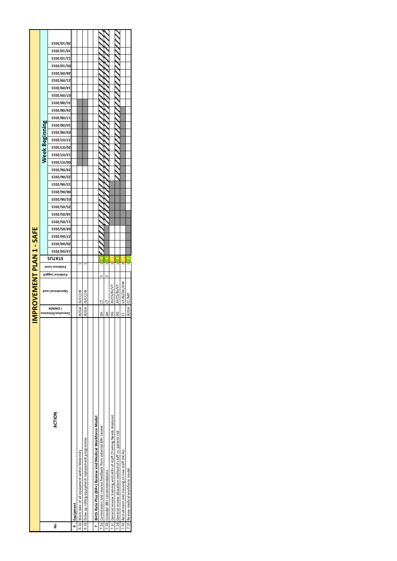| <b>Week Beginning</b><br>MPROVEMENT PLAN 1 - SAFE | <b>SIOZ/OI/6I</b><br><b>SIOZ/OI/ZI</b><br>ST07/0T/S0<br><b>SI0Z/60/8Z</b><br><b>SIOZ/60/IZ</b><br>ST07/60/tT<br>ST07/60/ <i>L</i> 0<br><b>SIOZ/80/IE</b><br><b>SIOZ/80/7Z</b><br><b>SIOZ/80/LT</b><br>ST07/80/0T<br><b>2102/80/20</b><br><b>STOZ/LO/LZ</b><br><b>STOZ/</b> ZO/OZ<br><b>SIOZ/LO/ET</b><br>ST07/ <i>L</i> 0/90<br><b>ST07/90/67</b><br>ST07/90/77<br><b>STOZ/90/ST</b><br>ST07/90/80<br><b>SIOZ/90/IO</b><br><b>SI0Z/SO/SZ</b><br><b>SIOZ/SO/8I</b><br><b>STOZ/SO/TT</b><br><b>SIOZ/SO/t0</b><br><b>SIOZ/tO/LZ</b><br><b>STOZ/t0/07</b><br><b>SIOZ/70/EI</b><br>ACTION | Equipment | JS/CC/JB<br>IK/GA | JS/CC/JB<br>IK/GA | Birth Rate Plus (BR+) Review and Medical Workforce Model | 5<br>5<br>동 | $\sim$<br>VT/BJ/DC/DW<br>Ⴆ | 7.1c General review training and skills of staff (Training Needs Analysis)<br>7.1a Commission and receive feedback from external BR+ review<br>7.1d General review allocation method of staff vs. patient risk<br>6.1b Draw up rolling equipment replacement programme<br>7.1e Recruitment and training of new staff (HCAs)<br>6.1a Stock take of all equipment within Maternity<br>7.1b Consider BR+ recommendations<br>c<br>å | <b>I OWNER</b><br>Š<br>ပ္က<br>Executive/Divisiona<br>공 | <b>H/CS/BI/VT</b><br>H/CS/BJ/VT<br>Operational Lead | Evidence Level<br>Evidence Logged | <b>2UTAT2</b> |  |  |  |  |  |  |  |  |
|---------------------------------------------------|--------------------------------------------------------------------------------------------------------------------------------------------------------------------------------------------------------------------------------------------------------------------------------------------------------------------------------------------------------------------------------------------------------------------------------------------------------------------------------------------------------------------------------------------------------------------------------------|-----------|-------------------|-------------------|----------------------------------------------------------|-------------|----------------------------|---------------------------------------------------------------------------------------------------------------------------------------------------------------------------------------------------------------------------------------------------------------------------------------------------------------------------------------------------------------------------------------------------------------------------------|--------------------------------------------------------|-----------------------------------------------------|-----------------------------------|---------------|--|--|--|--|--|--|--|--|
|                                                   |                                                                                                                                                                                                                                                                                                                                                                                                                                                                                                                                                                                      |           |                   |                   |                                                          |             | ><br>5                     |                                                                                                                                                                                                                                                                                                                                                                                                                                 |                                                        |                                                     |                                   |               |  |  |  |  |  |  |  |  |
|                                                   |                                                                                                                                                                                                                                                                                                                                                                                                                                                                                                                                                                                      |           |                   |                   |                                                          |             |                            |                                                                                                                                                                                                                                                                                                                                                                                                                                 |                                                        |                                                     |                                   |               |  |  |  |  |  |  |  |  |
|                                                   |                                                                                                                                                                                                                                                                                                                                                                                                                                                                                                                                                                                      |           |                   |                   |                                                          |             |                            |                                                                                                                                                                                                                                                                                                                                                                                                                                 |                                                        |                                                     |                                   |               |  |  |  |  |  |  |  |  |
|                                                   |                                                                                                                                                                                                                                                                                                                                                                                                                                                                                                                                                                                      |           |                   |                   |                                                          |             |                            |                                                                                                                                                                                                                                                                                                                                                                                                                                 |                                                        |                                                     |                                   |               |  |  |  |  |  |  |  |  |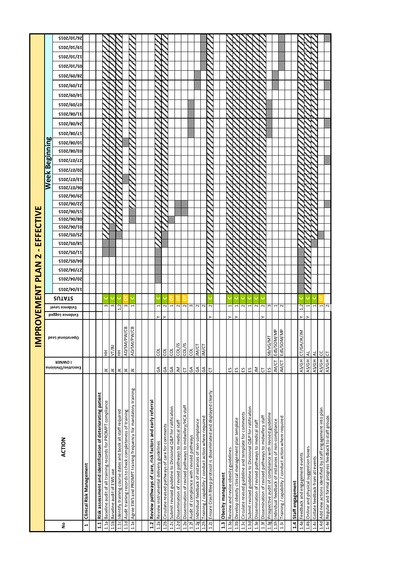|                                                                              |                                       | $\overline{\mathsf{M}}$ | <b>ROVEMENT</b>                   |               |                   | PLAN                                   |                   | $\mathbf{\mathsf{N}}$ |                   |                                        | EFFECTIVE  |            |            |                                   |                   |                    |                              |                   |            |            |                   |                   |            |                   |                   |                   |                   |                   |            |                   |
|------------------------------------------------------------------------------|---------------------------------------|-------------------------|-----------------------------------|---------------|-------------------|----------------------------------------|-------------------|-----------------------|-------------------|----------------------------------------|------------|------------|------------|-----------------------------------|-------------------|--------------------|------------------------------|-------------------|------------|------------|-------------------|-------------------|------------|-------------------|-------------------|-------------------|-------------------|-------------------|------------|-------------------|
|                                                                              |                                       |                         |                                   |               |                   |                                        |                   |                       |                   |                                        |            |            |            |                                   |                   |                    | Week Beginning               |                   |            |            |                   |                   |            |                   |                   |                   |                   |                   |            |                   |
| ACTION<br>å                                                                  | <b>I OMNEK</b><br>Executive/Divisiona | Operational Lead        | Evidence Level<br>Evidence Logged | <b>SUTATS</b> | <b>SIOZ/tO/ET</b> | <b>SIOZ/tO/LZ</b><br><b>SIOZ/t0/0Z</b> | <b>STOZ/SO/70</b> | STOZ/SO/TT            | <b>STOZ/SO/8T</b> | <b>STOZ/90/TO</b><br><b>STOZ/SO/SZ</b> | ST07/90/80 | ST07/90/ST | ST07/90/77 | ST07/ <i>L</i> 0/90<br>ST07/90/67 | <b>STOZ/LO/ET</b> | <b>SIOZ/</b> LO/OZ | ST07/ <i>L</i> 0/ <i>L</i> Z | <b>SI0Z/80/E0</b> | ST07/80/0T | ST07/80/LT | <b>SIOZ/80/7Z</b> | <b>SIOZ/80/IE</b> | ST07/60/L0 | <b>SIOZ/60/VI</b> | <b>SI0Z/60/IZ</b> | <b>SI0Z/60/8Z</b> | <b>SIOZ/OI/SO</b> | <b>STOZ/OT/ZT</b> | ST07/0T/6T | <b>STOZ/OT/9Z</b> |
| Clinical Risk Management<br>$\overline{a}$                                   |                                       |                         |                                   |               |                   |                                        |                   |                       |                   |                                        |            |            |            |                                   |                   |                    |                              |                   |            |            |                   |                   |            |                   |                   |                   |                   |                   |            |                   |
|                                                                              |                                       |                         |                                   |               |                   |                                        |                   |                       |                   |                                        |            |            |            |                                   |                   |                    |                              |                   |            |            |                   |                   |            |                   |                   |                   |                   |                   |            |                   |
| Risk assessment and identification of deteriorating patient<br>1.1           |                                       |                         |                                   |               |                   |                                        |                   |                       |                   |                                        |            |            |            |                                   |                   |                    |                              |                   |            |            |                   |                   |            |                   |                   |                   |                   |                   |            |                   |
| Baseline audit of all training records for PROMPT compliance<br>1.1a         | ¥                                     | 王                       | S                                 |               |                   |                                        |                   |                       |                   |                                        |            |            |            |                                   |                   |                    |                              |                   |            |            |                   |                   |            |                   |                   |                   |                   |                   |            |                   |
| Baseline audit of EWS use<br>1.1 <sub>b</sub>                                | ¥                                     | VT/BJ                   | S                                 |               |                   |                                        |                   |                       |                   |                                        |            |            |            |                                   |                   |                    |                              |                   |            |            |                   |                   |            |                   |                   |                   |                   |                   |            |                   |
| Identify training course dates and book all staff required<br>1.1c           | $\leq$                                | $\overline{\pm}$        | 1.2                               |               |                   |                                        |                   |                       |                   |                                        |            |            |            |                                   |                   |                    |                              |                   |            |            |                   |                   |            |                   |                   |                   |                   |                   |            |                   |
| Audit training records to check completeness of training<br>1.1d             | $\preceq$                             | ළ<br>AD/SM/PW,          | S                                 |               |                   |                                        |                   |                       |                   |                                        |            |            |            |                                   |                   |                    |                              |                   |            |            |                   |                   |            |                   |                   |                   |                   |                   |            |                   |
| Agree EWS and PROMPT training frequency for mandatory training<br>1.1e       | ¥                                     | පු<br>AD/SM/PW          |                                   |               |                   |                                        |                   |                       |                   |                                        |            |            |            |                                   |                   |                    |                              |                   |            |            |                   |                   |            |                   |                   |                   |                   |                   |            |                   |
|                                                                              |                                       |                         |                                   |               |                   |                                        |                   |                       |                   |                                        |            |            |            |                                   |                   |                    |                              |                   |            |            |                   |                   |            |                   |                   |                   |                   |                   |            |                   |
| Review pathways of care, risk factors and early referral<br>1.2              |                                       |                         |                                   |               |                   |                                        |                   |                       |                   |                                        |            |            |            |                                   |                   |                    |                              |                   |            |            |                   |                   |            |                   |                   |                   |                   |                   |            |                   |
| Review instrumental delivery guidelines<br>1.2a                              | $\mathfrak{S}$                        | ğ                       |                                   |               |                   |                                        |                   |                       |                   |                                        |            |            |            |                                   |                   |                    |                              |                   |            |            |                   |                   |            |                   |                   |                   |                   |                   |            |                   |
| Circulate revised pathways of care for comments<br>1.2 <sub>b</sub>          | $\mathfrak{S}$                        | đ                       |                                   |               |                   |                                        |                   |                       |                   |                                        |            |            |            |                                   |                   |                    |                              |                   |            |            |                   |                   |            |                   |                   |                   |                   |                   |            |                   |
| Submit revised guideline to Divisional Q&P for ratification<br>1.2c          | $\mathfrak{F}$                        | g                       |                                   |               |                   |                                        |                   |                       |                   |                                        |            |            |            |                                   |                   |                    |                              |                   |            |            |                   |                   |            |                   |                   |                   |                   |                   |            |                   |
| Dissemination of revised pathways to medical staff<br>1.2d                   | $\leq$                                | COL/IS                  |                                   |               |                   |                                        |                   |                       |                   |                                        |            |            |            |                                   |                   |                    |                              |                   |            |            |                   |                   |            |                   |                   |                   |                   |                   |            |                   |
| Dissemination of revised pathways to midwifery/HCA staff<br>1.2e             | p                                     | SI/100                  |                                   |               |                   |                                        |                   |                       |                   |                                        |            |            |            |                                   |                   |                    |                              |                   |            |            |                   |                   |            |                   |                   |                   |                   |                   |            |                   |
| Audit of compliance with revised pathways<br>1.2f                            | $\mathfrak{S}$                        | g                       | $\sim$ $\sim$                     |               |                   |                                        |                   |                       |                   |                                        |            |            |            |                                   |                   |                    |                              |                   |            |            |                   |                   |            |                   |                   |                   |                   |                   |            |                   |
| Individual feedback of instances of non-compliance<br>1.2g                   | $\mathfrak{S}$                        | JM/CT                   | $\sim$                            |               |                   |                                        |                   |                       |                   |                                        |            |            |            |                                   |                   |                    |                              |                   |            |            |                   |                   |            |                   |                   |                   |                   |                   |            |                   |
| Training / capability / conduct action where required<br>1.2h                | ĄЭ                                    | <b>IN/CT</b>            | $\sim$                            |               |                   |                                        |                   |                       |                   |                                        |            |            |            |                                   |                   |                    |                              |                   |            |            |                   |                   |            |                   |                   |                   |                   |                   |            |                   |
| Ensure Crash Bleep protocol is disseminated and displayed clearly<br>1.2J    | p                                     |                         | 2                                 |               |                   |                                        |                   |                       |                   |                                        |            |            |            |                                   |                   |                    |                              |                   |            |            |                   |                   |            |                   |                   |                   |                   |                   |            |                   |
|                                                                              |                                       |                         |                                   |               |                   |                                        |                   |                       |                   |                                        |            |            |            |                                   |                   |                    |                              |                   |            |            |                   |                   |            |                   |                   |                   |                   |                   |            |                   |
| Obesity management<br>1.3                                                    |                                       |                         |                                   |               |                   |                                        |                   |                       |                   |                                        |            |            |            |                                   |                   |                    |                              |                   |            |            |                   |                   |            |                   |                   |                   |                   |                   |            |                   |
| Review and revise obesity guidelines<br>1.3a                                 | ξã                                    |                         |                                   |               |                   |                                        |                   |                       |                   |                                        |            |            |            |                                   |                   |                    |                              |                   |            |            |                   |                   |            |                   |                   |                   |                   |                   |            |                   |
| Develop obesity clinical management plan template<br>1.3 <sub>b</sub>        | 53                                    |                         |                                   |               |                   |                                        |                   |                       |                   |                                        |            |            |            |                                   |                   |                    |                              |                   |            |            |                   |                   |            |                   |                   |                   |                   |                   |            |                   |
| Circulate revised guideline and template for comments<br>1.3c                | 53                                    |                         |                                   |               |                   |                                        |                   |                       |                   |                                        |            |            |            |                                   |                   |                    |                              |                   |            |            |                   |                   |            |                   |                   |                   |                   |                   |            |                   |
| Submit revised guideline to Divisional Q&P for ratification<br>1.3d          | ٢J                                    |                         |                                   |               |                   |                                        |                   |                       |                   |                                        |            |            |            |                                   |                   |                    |                              |                   |            |            |                   |                   |            |                   |                   |                   |                   |                   |            |                   |
| Dissemination of revised pathways to medical staff<br>1.3e                   | $\mathop{\leq}$                       |                         | $\sim$                            |               |                   |                                        |                   |                       |                   |                                        |            |            |            |                                   |                   |                    |                              |                   |            |            |                   |                   |            |                   |                   |                   |                   |                   |            |                   |
| Dissemination of revised pathways to midwifery staff<br>1.3f                 | Ե                                     |                         | $\sim$                            |               |                   |                                        |                   |                       |                   |                                        |            |            |            |                                   |                   |                    |                              |                   |            |            |                   |                   |            |                   |                   |                   |                   |                   |            |                   |
| Prospective audit of compliance with revised guideline<br>1.3g               | 53                                    | <b>SB/VG/MT</b>         | $\,$ $\,$                         |               |                   |                                        |                   |                       |                   |                                        |            |            |            |                                   |                   |                    |                              |                   |            |            |                   |                   |            |                   |                   |                   |                   |                   |            |                   |
| Individual feedback of instances of non-compliance<br>1.3h                   | JM/CT                                 | EdS/SOM/MP              |                                   |               |                   |                                        |                   |                       |                   |                                        |            |            |            |                                   |                   |                    |                              |                   |            |            |                   |                   |            |                   |                   |                   |                   |                   |            |                   |
| Training / capability / conduct action where required<br>1.3i                | JM/CT                                 | EdS/SOM/MP              | $\mathbf{\Omega}$                 |               |                   |                                        |                   |                       |                   |                                        |            |            |            |                                   |                   |                    |                              |                   |            |            |                   |                   |            |                   |                   |                   |                   |                   |            |                   |
|                                                                              |                                       |                         |                                   |               |                   |                                        |                   |                       |                   |                                        |            |            |            |                                   |                   |                    |                              |                   |            |            |                   |                   |            |                   |                   |                   |                   |                   |            |                   |
| <b>Staff engagement</b><br>1.4                                               |                                       |                         |                                   |               |                   |                                        |                   |                       |                   |                                        |            |            |            |                                   |                   |                    |                              |                   |            |            |                   |                   |            |                   |                   |                   |                   |                   |            |                   |
| Feedback and engagement events<br>1.4a                                       | AS/GH                                 | ↸<br>CT/GA/JK/J         | 1,2                               |               |                   |                                        |                   |                       |                   |                                        |            |            |            |                                   |                   |                    |                              |                   |            |            |                   |                   |            |                   |                   |                   |                   |                   |            |                   |
| Online and physical suggestion boxes<br>1.4 <sub>b</sub>                     | AS/GH                                 | ₹                       |                                   |               |                   |                                        |                   |                       |                   |                                        |            |            |            |                                   |                   |                    |                              |                   |            |            |                   |                   |            |                   |                   |                   |                   |                   |            |                   |
| Collate feedback from all events<br>1.4c                                     | AS/GH                                 | $\overline{4}$          |                                   |               |                   |                                        |                   |                       |                   |                                        |            |            |            |                                   |                   |                    |                              |                   |            |            |                   |                   |            |                   |                   |                   |                   |                   |            |                   |
| Add new actions identified by staff engagement into plan<br>1.4 <sub>d</sub> | AS/GH                                 | <u>ყ</u>                |                                   |               |                   |                                        |                   |                       |                   |                                        |            |            |            |                                   |                   |                    |                              |                   |            |            |                   |                   |            |                   |                   |                   |                   |                   |            |                   |
| 1.4e Regular and formal progress feedback to staff groups                    |                                       | $\overline{C}$          | $\frac{1}{2}$                     |               |                   |                                        |                   |                       |                   |                                        |            |            |            |                                   |                   |                    |                              |                   |            |            |                   |                   |            |                   |                   |                   |                   |                   |            |                   |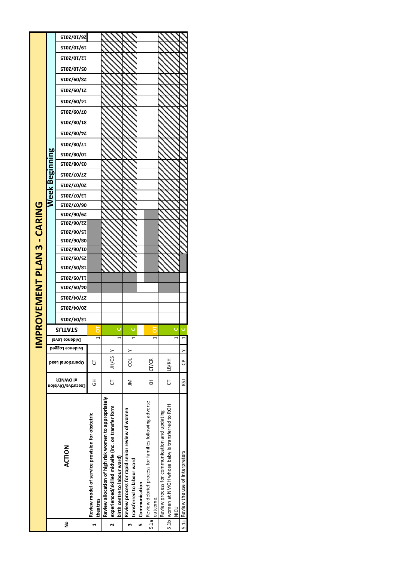|                          |             | ST07/0T/97                 |                                                             |                                                                                                             |                              |                                                                               |               |                                                                   |                                                                                                              |                                     |
|--------------------------|-------------|----------------------------|-------------------------------------------------------------|-------------------------------------------------------------------------------------------------------------|------------------------------|-------------------------------------------------------------------------------|---------------|-------------------------------------------------------------------|--------------------------------------------------------------------------------------------------------------|-------------------------------------|
|                          |             | <b>STOZ/OT/6T</b>          |                                                             |                                                                                                             |                              |                                                                               |               |                                                                   |                                                                                                              |                                     |
|                          |             | <b>SIOZ/OI/ZI</b>          |                                                             |                                                                                                             |                              |                                                                               |               |                                                                   |                                                                                                              |                                     |
|                          |             | ST07/0T/S0                 |                                                             |                                                                                                             |                              |                                                                               |               |                                                                   |                                                                                                              |                                     |
|                          |             | <b>SI0Z/60/8Z</b>          |                                                             |                                                                                                             |                              |                                                                               |               |                                                                   |                                                                                                              |                                     |
|                          |             | <b>SIOZ/60/IZ</b>          |                                                             |                                                                                                             |                              |                                                                               |               |                                                                   |                                                                                                              |                                     |
|                          |             | <b>SIOZ/60/7I</b>          |                                                             |                                                                                                             |                              |                                                                               |               |                                                                   |                                                                                                              |                                     |
|                          |             | ST07/60/ <i>L</i> 0        |                                                             |                                                                                                             |                              |                                                                               |               |                                                                   |                                                                                                              |                                     |
|                          |             | <b>SIOZ/80/IE</b>          |                                                             |                                                                                                             |                              |                                                                               |               |                                                                   |                                                                                                              |                                     |
|                          |             | <b>SIOZ/80/7Z</b>          |                                                             |                                                                                                             |                              |                                                                               |               |                                                                   |                                                                                                              |                                     |
|                          |             | <b>STOZ/80/LT</b>          |                                                             |                                                                                                             |                              |                                                                               |               |                                                                   |                                                                                                              |                                     |
|                          | nning       | <b>2002/80/201</b>         |                                                             |                                                                                                             |                              |                                                                               |               |                                                                   |                                                                                                              |                                     |
|                          |             | ST07/80/E0                 |                                                             |                                                                                                             |                              |                                                                               |               |                                                                   |                                                                                                              |                                     |
|                          | <b>Begi</b> | <b>SIOZ/LO/LZ</b>          |                                                             |                                                                                                             |                              |                                                                               |               |                                                                   |                                                                                                              |                                     |
|                          |             | <b>SIOZ/</b> <i>L</i> O/OZ |                                                             |                                                                                                             |                              |                                                                               |               |                                                                   |                                                                                                              |                                     |
|                          | Week        | <b>SIOZ/LO/ET</b>          |                                                             |                                                                                                             |                              |                                                                               |               |                                                                   |                                                                                                              |                                     |
|                          |             | ST07/ <i>L</i> 0/90        |                                                             |                                                                                                             |                              |                                                                               |               |                                                                   |                                                                                                              |                                     |
|                          |             | ST07/90/67                 |                                                             |                                                                                                             |                              |                                                                               |               |                                                                   |                                                                                                              |                                     |
|                          |             | ST07/90/77                 |                                                             |                                                                                                             |                              |                                                                               |               |                                                                   |                                                                                                              |                                     |
|                          |             | <b>SIOZ/90/SI</b>          |                                                             |                                                                                                             |                              |                                                                               |               |                                                                   |                                                                                                              |                                     |
|                          |             | ST07/90/80<br>ST07/90/T0   |                                                             |                                                                                                             |                              |                                                                               |               |                                                                   |                                                                                                              |                                     |
|                          |             | <b>25/02/2015</b>          |                                                             |                                                                                                             |                              |                                                                               |               |                                                                   |                                                                                                              |                                     |
|                          |             | <b>28/02/2015</b>          |                                                             |                                                                                                             |                              |                                                                               |               |                                                                   |                                                                                                              |                                     |
|                          |             | <b>SIOZ/SO/II</b>          |                                                             |                                                                                                             |                              |                                                                               |               |                                                                   |                                                                                                              |                                     |
|                          |             | <b>SIOZ/SO/70</b>          |                                                             |                                                                                                             |                              |                                                                               |               |                                                                   |                                                                                                              |                                     |
|                          |             | <b>SIOZ/tO/LZ</b>          |                                                             |                                                                                                             |                              |                                                                               |               |                                                                   |                                                                                                              |                                     |
|                          |             | <b>STOZ/t0/0Z</b>          |                                                             |                                                                                                             |                              |                                                                               |               |                                                                   |                                                                                                              |                                     |
| ROVEMENT PLAN 3 - CARING |             | <b>SIOZ/70/EI</b>          |                                                             |                                                                                                             |                              |                                                                               |               |                                                                   |                                                                                                              |                                     |
|                          |             | יואוח>                     |                                                             |                                                                                                             |                              |                                                                               |               |                                                                   |                                                                                                              |                                     |
| <b>IMP</b>               |             | Evidence Level             |                                                             |                                                                                                             |                              |                                                                               |               |                                                                   |                                                                                                              |                                     |
|                          |             | Evidence Logged            |                                                             |                                                                                                             |                              | $\geq$                                                                        |               |                                                                   |                                                                                                              | >                                   |
|                          |             | <b>Desal lanoits19q0</b>   | Ⴆ                                                           | M/CS                                                                                                        |                              | ಕ                                                                             |               | CT/CR                                                             | <b>HY/RT</b>                                                                                                 | පි                                  |
|                          |             | al OWNER                   |                                                             | 5                                                                                                           |                              |                                                                               |               | KH                                                                | Ե                                                                                                            |                                     |
|                          |             | rxecutive/Division         | $\overline{5}$                                              |                                                                                                             |                              | ξ                                                                             |               |                                                                   |                                                                                                              | KSJ                                 |
|                          |             | <b>ACTION</b>              | Review model of service provision for obstetric<br>theatres | Review allocation of high risk women to appropriately<br>experienced/skilled midwife (inc. on transfer form | birth centre to labour ward) | Review process for rapid senior review of women<br>transferred to labour ward | Communication | Review debrief process for families following adverse<br>outcome. | 5.1b women at NMGH whose baby is transferred to ROH<br>Review process for communication and updating<br>DOIN | 5.1c Review the use of interpreters |
|                          |             | ş                          | ⊣                                                           | ี่                                                                                                          |                              | m                                                                             | Lŋ            | 5.1a                                                              |                                                                                                              |                                     |
|                          |             |                            |                                                             |                                                                                                             |                              |                                                                               |               |                                                                   |                                                                                                              |                                     |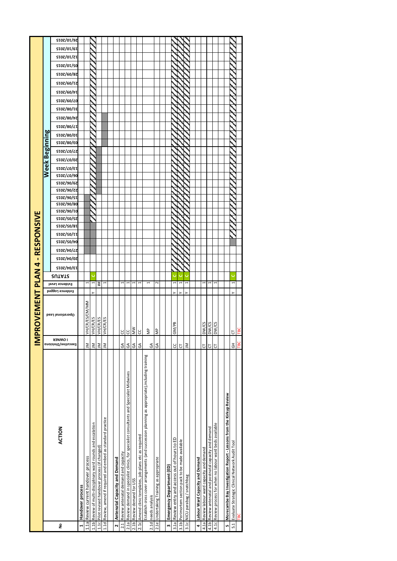|                                      |                | <b>SIOZ/OI/9Z</b><br><b>SIOZ/OI/6I</b> |                  |                                      |                                                              |                                                  |                                                               |                                         |                                      |                                                                                              |                            |                                                   |                                                                                                 |                                          |                                           |                                            |                                              |                               |                                 |                                        |                                                    |                                                       |                                                                     |                                                |     |
|--------------------------------------|----------------|----------------------------------------|------------------|--------------------------------------|--------------------------------------------------------------|--------------------------------------------------|---------------------------------------------------------------|-----------------------------------------|--------------------------------------|----------------------------------------------------------------------------------------------|----------------------------|---------------------------------------------------|-------------------------------------------------------------------------------------------------|------------------------------------------|-------------------------------------------|--------------------------------------------|----------------------------------------------|-------------------------------|---------------------------------|----------------------------------------|----------------------------------------------------|-------------------------------------------------------|---------------------------------------------------------------------|------------------------------------------------|-----|
|                                      |                | <b>SIOZ/OI/ZI</b>                      |                  |                                      |                                                              |                                                  |                                                               |                                         |                                      |                                                                                              |                            |                                                   |                                                                                                 |                                          |                                           |                                            |                                              |                               |                                 |                                        |                                                    |                                                       |                                                                     |                                                |     |
|                                      |                | <b>SIOZ/OI/SO</b>                      |                  |                                      |                                                              |                                                  |                                                               |                                         |                                      |                                                                                              |                            |                                                   |                                                                                                 |                                          |                                           |                                            |                                              |                               |                                 |                                        |                                                    |                                                       |                                                                     |                                                |     |
|                                      |                | <b>SIOZ/60/8Z</b>                      |                  |                                      |                                                              |                                                  |                                                               |                                         |                                      |                                                                                              |                            |                                                   |                                                                                                 |                                          |                                           |                                            |                                              |                               |                                 |                                        |                                                    |                                                       |                                                                     |                                                |     |
|                                      |                | <b>SIOZ/60/IZ</b>                      |                  |                                      |                                                              |                                                  |                                                               |                                         |                                      |                                                                                              |                            |                                                   |                                                                                                 |                                          |                                           |                                            |                                              |                               |                                 |                                        |                                                    |                                                       |                                                                     |                                                |     |
|                                      |                |                                        |                  |                                      |                                                              |                                                  |                                                               |                                         |                                      |                                                                                              |                            |                                                   |                                                                                                 |                                          |                                           |                                            |                                              |                               |                                 |                                        |                                                    |                                                       |                                                                     |                                                |     |
|                                      |                | <b>STOZ/60/vT</b>                      |                  |                                      |                                                              |                                                  |                                                               |                                         |                                      |                                                                                              |                            |                                                   |                                                                                                 |                                          |                                           |                                            |                                              |                               |                                 |                                        |                                                    |                                                       |                                                                     |                                                |     |
|                                      |                | <b>SIOZ/60/LO</b>                      |                  |                                      |                                                              |                                                  |                                                               |                                         |                                      |                                                                                              |                            |                                                   |                                                                                                 |                                          |                                           |                                            |                                              |                               |                                 |                                        |                                                    |                                                       |                                                                     |                                                |     |
|                                      |                | <b>SIOS/80/IE</b>                      |                  |                                      |                                                              |                                                  |                                                               |                                         |                                      |                                                                                              |                            |                                                   |                                                                                                 |                                          |                                           |                                            |                                              |                               |                                 |                                        |                                                    |                                                       |                                                                     |                                                |     |
|                                      |                | <b>SIOZ/80/7Z</b>                      |                  |                                      |                                                              |                                                  |                                                               |                                         |                                      |                                                                                              |                            |                                                   |                                                                                                 |                                          |                                           |                                            |                                              |                               |                                 |                                        |                                                    |                                                       |                                                                     |                                                |     |
|                                      |                | <b>SIOZ/80/LT</b><br><b>SIOZ/80/OI</b> |                  |                                      |                                                              |                                                  |                                                               |                                         |                                      |                                                                                              |                            |                                                   |                                                                                                 |                                          |                                           |                                            |                                              |                               |                                 |                                        |                                                    |                                                       |                                                                     |                                                |     |
|                                      |                | <b>63/08/2015</b>                      |                  |                                      |                                                              |                                                  |                                                               |                                         |                                      |                                                                                              |                            |                                                   |                                                                                                 |                                          |                                           |                                            |                                              |                               |                                 |                                        |                                                    |                                                       |                                                                     |                                                |     |
|                                      |                | <b>SIOZ/LO/LZ</b>                      |                  |                                      |                                                              |                                                  |                                                               |                                         |                                      |                                                                                              |                            |                                                   |                                                                                                 |                                          |                                           |                                            |                                              |                               |                                 |                                        |                                                    |                                                       |                                                                     |                                                |     |
|                                      | Week Beginning | <b>SIOZ/</b> LO/07                     |                  |                                      |                                                              |                                                  |                                                               |                                         |                                      |                                                                                              |                            |                                                   |                                                                                                 |                                          |                                           |                                            |                                              |                               |                                 |                                        |                                                    |                                                       |                                                                     |                                                |     |
|                                      |                | <b>SIOZ/LO/ET</b>                      |                  |                                      |                                                              |                                                  |                                                               |                                         |                                      |                                                                                              |                            |                                                   |                                                                                                 |                                          |                                           |                                            |                                              |                               |                                 |                                        |                                                    |                                                       |                                                                     |                                                |     |
|                                      |                | ST07/ <i>L</i> 0/90                    |                  |                                      |                                                              |                                                  |                                                               |                                         |                                      |                                                                                              |                            |                                                   |                                                                                                 |                                          |                                           |                                            |                                              |                               |                                 |                                        |                                                    |                                                       |                                                                     |                                                |     |
|                                      |                | <b>STOZ/90/6Z</b>                      |                  |                                      |                                                              |                                                  |                                                               |                                         |                                      |                                                                                              |                            |                                                   |                                                                                                 |                                          |                                           |                                            |                                              |                               |                                 |                                        |                                                    |                                                       |                                                                     |                                                |     |
|                                      |                | <b>SIOZ/90/ZZ</b>                      |                  |                                      |                                                              |                                                  |                                                               |                                         |                                      |                                                                                              |                            |                                                   |                                                                                                 |                                          |                                           |                                            |                                              |                               |                                 |                                        |                                                    |                                                       |                                                                     |                                                |     |
|                                      |                | <b>SIOZ/90/SI</b>                      |                  |                                      |                                                              |                                                  |                                                               |                                         |                                      |                                                                                              |                            |                                                   |                                                                                                 |                                          |                                           |                                            |                                              |                               |                                 |                                        |                                                    |                                                       |                                                                     |                                                |     |
|                                      |                | SI0Z/90/80<br><b>SIOZ/90/IO</b>        |                  |                                      |                                                              |                                                  |                                                               |                                         |                                      |                                                                                              |                            |                                                   |                                                                                                 |                                          |                                           |                                            |                                              |                               |                                 |                                        |                                                    |                                                       |                                                                     |                                                |     |
|                                      |                | <b>SIOZ/SO/SZ</b>                      |                  |                                      |                                                              |                                                  |                                                               |                                         |                                      |                                                                                              |                            |                                                   |                                                                                                 |                                          |                                           |                                            |                                              |                               |                                 |                                        |                                                    |                                                       |                                                                     |                                                |     |
|                                      |                | <b>SIOZ/SO/8I</b>                      |                  |                                      |                                                              |                                                  |                                                               |                                         |                                      |                                                                                              |                            |                                                   |                                                                                                 |                                          |                                           |                                            |                                              |                               |                                 |                                        |                                                    |                                                       |                                                                     |                                                |     |
|                                      |                | <b>STOZ/SO/TT</b>                      |                  |                                      |                                                              |                                                  |                                                               |                                         |                                      |                                                                                              |                            |                                                   |                                                                                                 |                                          |                                           |                                            |                                              |                               |                                 |                                        |                                                    |                                                       |                                                                     |                                                |     |
|                                      |                | <b>SIOZ/SO/70</b>                      |                  |                                      |                                                              |                                                  |                                                               |                                         |                                      |                                                                                              |                            |                                                   |                                                                                                 |                                          |                                           |                                            |                                              |                               |                                 |                                        |                                                    |                                                       |                                                                     |                                                |     |
|                                      |                | <b>SIOZ/tO/LZ</b>                      |                  |                                      |                                                              |                                                  |                                                               |                                         |                                      |                                                                                              |                            |                                                   |                                                                                                 |                                          |                                           |                                            |                                              |                               |                                 |                                        |                                                    |                                                       |                                                                     |                                                |     |
|                                      |                | <b>SIOZ/70/0Z</b>                      |                  |                                      |                                                              |                                                  |                                                               |                                         |                                      |                                                                                              |                            |                                                   |                                                                                                 |                                          |                                           |                                            |                                              |                               |                                 |                                        |                                                    |                                                       |                                                                     |                                                |     |
|                                      |                | <b>SIOZ/tO/EI</b>                      |                  |                                      |                                                              |                                                  |                                                               |                                         |                                      |                                                                                              |                            |                                                   |                                                                                                 |                                          |                                           |                                            |                                              |                               |                                 |                                        |                                                    |                                                       |                                                                     |                                                |     |
|                                      |                | <b>2UTATS</b>                          |                  |                                      |                                                              |                                                  |                                                               |                                         |                                      |                                                                                              |                            |                                                   |                                                                                                 |                                          |                                           |                                            |                                              |                               |                                 |                                        |                                                    |                                                       |                                                                     |                                                |     |
|                                      |                | Evidence Level                         |                  |                                      |                                                              | #                                                |                                                               |                                         |                                      |                                                                                              |                            |                                                   |                                                                                                 | $\sim$                                   |                                           |                                            |                                              |                               |                                 |                                        |                                                    |                                                       |                                                                     |                                                |     |
|                                      |                | Evidence Logged                        |                  |                                      |                                                              |                                                  |                                                               |                                         |                                      |                                                                                              |                            |                                                   |                                                                                                 |                                          |                                           |                                            |                                              |                               |                                 |                                        |                                                    |                                                       |                                                                     |                                                |     |
| <b>PROVEMENT PLAN 4 - RESPONSIVE</b> |                | <b>Operational Lead</b>                |                  | VH/CR/ES/CM/MN                       | <b>VH/CR/ES</b>                                              | VH/CR/ES                                         | VH/CR/ES                                                      |                                         | ပ                                    | g                                                                                            | $\geq$                     | ပ                                                 | ξ                                                                                               | ξ                                        |                                           | GM/PB                                      |                                              |                               |                                 | DW/CS                                  | DW/CS                                              | DW/CS                                                 |                                                                     | 5                                              |     |
| ≧                                    |                | <b>I OMNER</b>                         |                  |                                      |                                                              |                                                  |                                                               |                                         |                                      |                                                                                              |                            |                                                   |                                                                                                 |                                          |                                           |                                            |                                              |                               |                                 |                                        |                                                    |                                                       |                                                                     |                                                |     |
|                                      |                | Executive/Divisiona                    |                  | $\leq$                               | ξ                                                            | ξ                                                | $\leq$                                                        |                                         | $\mathbb S$                          | $\mathfrak{S}$                                                                               | $\mathfrak{F}$             | $\mathfrak{S}$                                    | $\mathfrak{F}$                                                                                  | $\mathfrak{F}$                           |                                           | ပ                                          | p                                            | $\leq$                        |                                 | p                                      | p                                                  | Ⴆ                                                     |                                                                     | $\overline{5}$                                 | TBC |
|                                      |                | <b>ACTION</b>                          |                  |                                      | 1.1b Review of multi-disciplinary ward rounds and escalation | 1.1c Pilot revised handover process (if changed) | 1.1d Review, amend if required and embed as standard practice |                                         | Review antenatal demand and capacity | 2.1a Review demand in specialist clinics, for specialist consultants and Specialist Midwives |                            | Amend clinic templates, job plans etc as required | Establish cross cover arrangements (and succession planning as appropriate), including training |                                          |                                           | Review entry and access out of hours to ED | Perimortem section pack to be made available |                               | Labour Ward Capacity and Demand | Review labour ward capacity and demand | Review antenatal and postnatal capacity and demand | Review process for when no labour ward beds available | Morecambe Bay Investigation Report - Lessons from the Kirkup Review | Evaluate Strategic Clinical Network Audit Tool |     |
|                                      |                | ş                                      | Handover process | 1.1a Review current handover process |                                                              |                                                  |                                                               | Antenatal Capacity and Demand<br>$\sim$ | 2.1                                  |                                                                                              | 2.1b Review demand for USS | 2.1c                                              | 2.1d needs analysis                                                                             | 2.1e Undertaking Training as appropriate | Emergency Department (ED)<br>$\mathbf{r}$ | 3.1a                                       | 3.1 <sub>b</sub>                             | 3.1c NICU parabag / snatchbag | 4                               | 4.1a                                   | 4.1b                                               | 4.1c                                                  | LŊ                                                                  | 5.1                                            |     |